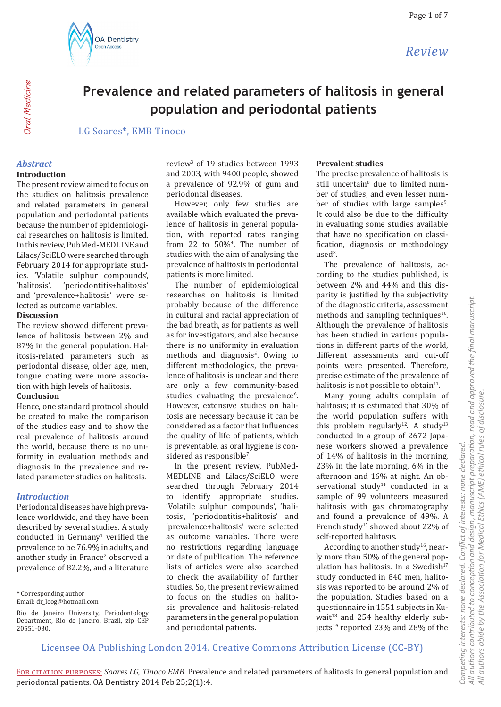

# **Prevalence and related parameters of halitosis in general population and periodontal patients**

LG Soares\*, EMB Tinoco

#### *Abstract*

Oral Medicine

**Oral** Medicine

#### **Introduction**

The present review aimed to focus on the studies on halitosis prevalence and related parameters in general population and periodontal patients because the number of epidemiological researches on halitosis is limited. In this review, PubMed-MEDLINE and Lilacs/SciELO were searched through February 2014 for appropriate studies. 'Volatile sulphur compounds', 'periodontitis+halitosis' and 'prevalence+halitosis' were selected as outcome variables.

#### **Discussion**

The review showed different prevalence of halitosis between 2% and 87% in the general population. Halitosis-related parameters such as periodontal disease, older age, men, tongue coating were more association with high levels of halitosis.

#### **Conclusion**

Hence, one standard protocol should be created to make the comparison of the studies easy and to show the real prevalence of halitosis around the world, because there is no uniformity in evaluation methods and diagnosis in the prevalence and related parameter studies on halitosis.

#### *Introduction*

Periodontal diseases have high prevalence worldwide, and they have been described by several studies. A study conducted in  $Germany<sup>1</sup>$  verified the prevalence to be 76.9% in adults, and another study in France<sup>2</sup> observed a prevalence of 82.2%, and a literature

**\*** Corresponding author

Email: dr\_leog@hotmail.com

review<sup>3</sup> of 19 studies between 1993 and 2003, with 9400 people, showed a prevalence of 92.9% of gum and periodontal diseases.

However, only few studies are available which evaluated the prevalence of halitosis in general population, with reported rates ranging from 22 to  $50\%$ <sup>4</sup>. The number of studies with the aim of analysing the prevalence of halitosis in periodontal patients is more limited.

The number of epidemiological researches on halitosis is limited probably because of the difference in cultural and racial appreciation of the bad breath, as for patients as well as for investigators, and also because there is no uniformity in evaluation methods and diagnosis<sup>5</sup>. Owing to different methodologies, the prevalence of halitosis is unclear and there are only a few community-based studies evaluating the prevalence<sup>6</sup>. However, extensive studies on halitosis are necessary because it can be considered as a factor that influences the quality of life of patients, which is preventable, as oral hygiene is considered as responsible<sup>7</sup>.

In the present review, PubMed-MEDLINE and Lilacs/SciELO were searched through February 2014 to identify appropriate studies. 'Volatile sulphur compounds', 'halitosis', 'periodontitis+halitosis' and 'prevalence+halitosis' were selected as outcome variables. There were no restrictions regarding language or date of publication. The reference lists of articles were also searched to check the availability of further studies. So, the present review aimed to focus on the studies on halitosis prevalence and halitosis-related parameters in the general population and periodontal patients.

#### **Prevalent studies**

The precise prevalence of halitosis is still uncertain<sup>8</sup> due to limited number of studies, and even lesser number of studies with large samples<sup>9</sup>. It could also be due to the difficulty in evaluating some studies available that have no specification on classification, diagnosis or methodology  $used<sup>8</sup>$ .

The prevalence of halitosis, according to the studies published, is between 2% and 44% and this disparity is justified by the subjectivity of the diagnostic criteria, assessment methods and sampling techniques $10$ . Although the prevalence of halitosis has been studied in various populations in different parts of the world, different assessments and cut-off points were presented. Therefore, precise estimate of the prevalence of halitosis is not possible to obtain $11$ .

Many young adults complain of halitosis; it is estimated that 30% of the world population suffers with this problem regularly<sup>12</sup>. A study<sup>13</sup> conducted in a group of 2672 Japanese workers showed a prevalence of 14% of halitosis in the morning, 23% in the late morning, 6% in the afternoon and 16% at night. An observational study<sup>14</sup> conducted in a sample of 99 volunteers measured halitosis with gas chromatography and found a prevalence of 49%. A French study<sup>15</sup> showed about 22% of self-reported halitosis.

According to another study<sup>16</sup>, nearly more than 50% of the general population has halitosis. In a Swedish<sup>17</sup> study conducted in 840 men, halitosis was reported to be around 2% of the population. Studies based on a questionnaire in 1551 subjects in Kuwait $18$  and 254 healthy elderly subjects<sup>19</sup> reported 23% and 28% of the

Licensee OA Publishing London 2014. Creative Commons Attribution License (CC-BY)

Rio de Janeiro University, Periodontology Department, Rio de Janeiro, Brazil, zip CEP 20551-030.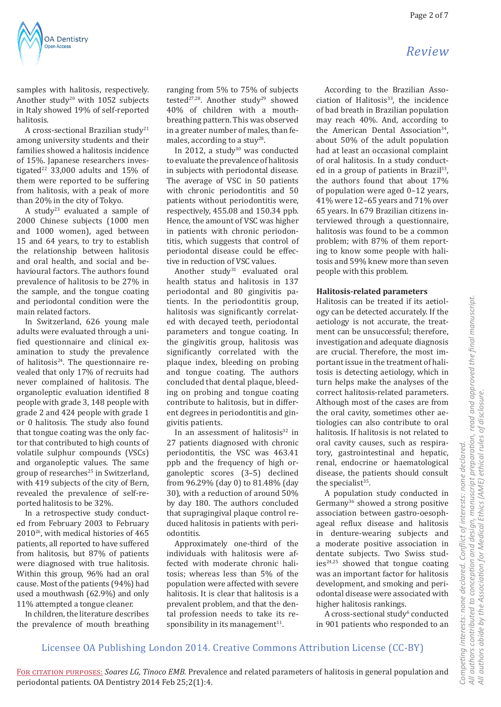

samples with halitosis, respectively. Another study<sup>20</sup> with 1052 subjects in Italy showed 19% of self-reported halitosis.

A cross-sectional Brazilian study<sup>21</sup> among university students and their families showed a halitosis incidence of 15%. Japanese researchers investigated<sup>22</sup> 33,000 adults and  $15\%$  of them were reported to be suffering from halitosis, with a peak of more than 20% in the city of Tokyo.

A study23 evaluated a sample of 2000 Chinese subjects (1000 men and 1000 women), aged between 15 and 64 years, to try to establish the relationship between halitosis and oral health, and social and behavioural factors. The authors found prevalence of halitosis to be 27% in the sample, and the tongue coating and periodontal condition were the main related factors.

In Switzerland, 626 young male adults were evaluated through a unified questionnaire and clinical examination to study the prevalence of halitosis<sup>24</sup>. The questionnaire revealed that only 17% of recruits had never complained of halitosis. The organoleptic evaluation identified 8 people with grade 3, 148 people with grade 2 and 424 people with grade 1 or 0 halitosis. The study also found that tongue coating was the only factor that contributed to high counts of volatile sulphur compounds (VSCs) and organoleptic values. The same group of researches<sup>25</sup> in Switzerland, with 419 subjects of the city of Bern, revealed the prevalence of self-reported halitosis to be 32%.

In a retrospective study conducted from February 2003 to February 201026, with medical histories of 465 patients, all reported to have suffered from halitosis, but 87% of patients were diagnosed with true halitosis. Within this group, 96% had an oral cause. Most of the patients (94%) had used a mouthwash (62.9%) and only 11% attempted a tongue cleaner.

In children, the literature describes the prevalence of mouth breathing ranging from 5% to 75% of subjects tested<sup>27,28</sup>. Another study<sup>29</sup> showed 40% of children with a mouthbreathing pattern. This was observed in a greater number of males, than females, according to a stuy<sup>28</sup>.

In 2012, a study $30$  was conducted to evaluate the prevalence of halitosis in subjects with periodontal disease. The average of VSC in 50 patients with chronic periodontitis and 50 patients without periodontitis were, respectively, 455.08 and 150.34 ppb. Hence, the amount of VSC was higher in patients with chronic periodontitis, which suggests that control of periodontal disease could be effective in reduction of VSC values.

Another study $31$  evaluated oral health status and halitosis in 137 periodontal and 80 gingivitis patients. In the periodontitis group, halitosis was significantly correlated with decayed teeth, periodontal parameters and tongue coating. In the gingivitis group, halitosis was significantly correlated with the plaque index, bleeding on probing and tongue coating. The authors concluded that dental plaque, bleeding on probing and tongue coating contribute to halitosis, but in different degrees in periodontitis and gingivitis patients.

In an assessment of halitosis $32$  in 27 patients diagnosed with chronic periodontitis, the VSC was 463.41 ppb and the frequency of high organoleptic scores (3–5) declined from 96.29% (day 0) to 81.48% (day 30), with a reduction of around 50% by day 180. The authors concluded that supragingival plaque control reduced halitosis in patients with periodontitis.

Approximately one-third of the individuals with halitosis were affected with moderate chronic halitosis; whereas less than 5% of the population were affected with severe halitosis. It is clear that halitosis is a prevalent problem, and that the dental profession needs to take its responsibility in its management $11$ .

According to the Brazilian Association of Halitosis<sup>33</sup>, the incidence of bad breath in Brazilian population may reach 40%. And, according to the American Dental Association<sup>34</sup>, about 50% of the adult population had at least an occasional complaint of oral halitosis. In a study conducted in a group of patients in Brazil<sup>33</sup>, the authors found that about 17% of population were aged 0–12 years, 41% were 12–65 years and 71% over 65 years. In 679 Brazilian citizens interviewed through a questionnaire, halitosis was found to be a common problem; with 87% of them reporting to know some people with halitosis and 59% knew more than seven people with this problem.

#### **Halitosis-related parameters**

Halitosis can be treated if its aetiology can be detected accurately. If the aetiology is not accurate, the treatment can be unsuccessful; therefore, investigation and adequate diagnosis are crucial. Therefore, the most important issue in the treatment of halitosis is detecting aetiology, which in turn helps make the analyses of the correct halitosis-related parameters. Although most of the cases are from the oral cavity, sometimes other aetiologies can also contribute to oral halitosis. If halitosis is not related to oral cavity causes, such as respiratory, gastrointestinal and hepatic, renal, endocrine or haematological disease, the patients should consult the specialist $35$ .

A population study conducted in Germany<sup>36</sup> showed a strong positive association between gastro-oesophageal reflux disease and halitosis in denture-wearing subjects and a moderate positive association in dentate subjects. Two Swiss stud $ies^{24,25}$  showed that tongue coating was an important factor for halitosis development, and smoking and periodontal disease were associated with higher halitosis rankings.

A cross-sectional study<sup>6</sup> conducted in 901 patients who responded to an

# All authors contributed to conception and design, manuscript preparation, read and approved the final manuscript.<br>All authors abide by the Association for Medical Ethics (AME) ethical rules of disclosure. *All authors contributed to conception and design, manuscript preparation, read and approved the final manuscript. All authors abide by the Association for Medical Ethics (AME) ethical rules of disclosure.* Conflict of interests: none declared. *Competing interests: none declared. Conflict of interests: none declared.* Competing interests: none declared.

Licensee OA Publishing London 2014. Creative Commons Attribution License (CC-BY)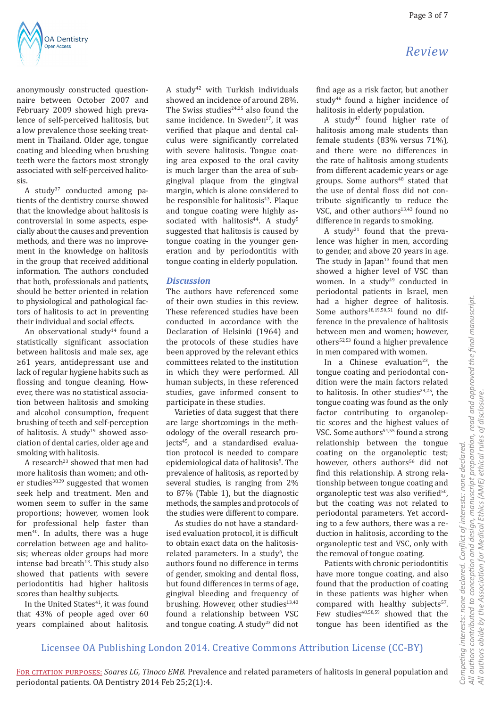

anonymously constructed questionnaire between October 2007 and February 2009 showed high prevalence of self-perceived halitosis, but a low prevalence those seeking treatment in Thailand. Older age, tongue coating and bleeding when brushing teeth were the factors most strongly associated with self-perceived halitosis.

A study<sup>37</sup> conducted among patients of the dentistry course showed that the knowledge about halitosis is controversial in some aspects, especially about the causes and prevention methods, and there was no improvement in the knowledge on halitosis in the group that received additional information. The authors concluded that both, professionals and patients, should be better oriented in relation to physiological and pathological factors of halitosis to act in preventing their individual and social effects.

An observational study<sup>14</sup> found a statistically significant association between halitosis and male sex, age ≥61 years, antidepressant use and lack of regular hygiene habits such as flossing and tongue cleaning. However, there was no statistical association between halitosis and smoking and alcohol consumption, frequent brushing of teeth and self-perception of halitosis. A study $19$  showed association of dental caries, older age and smoking with halitosis.

A research<sup>23</sup> showed that men had more halitosis than women; and other studies<sup>38,39</sup> suggested that women seek help and treatment. Men and women seem to suffer in the same proportions; however, women look for professional help faster than men<sup>40</sup>. In adults, there was a huge correlation between age and halitosis; whereas older groups had more intense bad breath $13$ . This study also showed that patients with severe periodontitis had higher halitosis scores than healthy subjects.

In the United States<sup>41</sup>, it was found that 43% of people aged over 60 years complained about halitosis. A study42 with Turkish individuals showed an incidence of around 28%. The Swiss studies $24,25$  also found the same incidence. In Sweden<sup>17</sup>, it was verified that plaque and dental calculus were significantly correlated with severe halitosis. Tongue coating area exposed to the oral cavity is much larger than the area of subgingival plaque from the gingival margin, which is alone considered to be responsible for halitosis<sup>43</sup>. Plaque and tongue coating were highly associated with halitosis $44$ . A study<sup>5</sup> suggested that halitosis is caused by tongue coating in the younger generation and by periodontitis with tongue coating in elderly population.

#### *Discussion*

The authors have referenced some of their own studies in this review. These referenced studies have been conducted in accordance with the Declaration of Helsinki (1964) and the protocols of these studies have been approved by the relevant ethics committees related to the institution in which they were performed. All human subjects, in these referenced studies, gave informed consent to participate in these studies.

Varieties of data suggest that there are large shortcomings in the methodology of the overall research projects<sup>45</sup>, and a standardised evaluation protocol is needed to compare epidemiological data of halitosis<sup>5</sup>. The prevalence of halitosis, as reported by several studies, is ranging from 2% to 87% (Table 1), but the diagnostic methods, the samples and protocols of the studies were different to compare.

As studies do not have a standardised evaluation protocol, it is difficult to obtain exact data on the halitosisrelated parameters. In a study<sup>6</sup>, the authors found no difference in terms of gender, smoking and dental floss, but found differences in terms of age, gingival bleeding and frequency of brushing. However, other studies $13,43$ found a relationship between VSC and tongue coating. A study<sup>23</sup> did not

find age as a risk factor, but another study<sup>46</sup> found a higher incidence of halitosis in elderly population.

A study<sup>47</sup> found higher rate of halitosis among male students than female students (83% versus 71%), and there were no differences in the rate of halitosis among students from different academic years or age groups. Some authors $48$  stated that the use of dental floss did not contribute significantly to reduce the VSC, and other authors<sup>13,43</sup> found no difference in regards to smoking.

A study<sup>21</sup> found that the prevalence was higher in men, according to gender, and above 20 years in age. The study in Japan $13$  found that men showed a higher level of VSC than women. In a study<sup>49</sup> conducted in periodontal patients in Israel, men had a higher degree of halitosis. Some authors<sup>18,19,50,51</sup> found no difference in the prevalence of halitosis between men and women; however, others52,53 found a higher prevalence in men compared with women.

In a Chinese evaluation<sup>23</sup>, the tongue coating and periodontal condition were the main factors related to halitosis. In other studies $24,25$ , the tongue coating was found as the only factor contributing to organoleptic scores and the highest values of VSC. Some authors<sup>54,55</sup> found a strong relationship between the tongue coating on the organoleptic test; however, others authors<sup>56</sup> did not find this relationship. A strong relationship between tongue coating and organoleptic test was also verified $50$ , but the coating was not related to periodontal parameters. Yet according to a few authors, there was a reduction in halitosis, according to the organoleptic test and VSC, only with the removal of tongue coating.

Patients with chronic periodontitis have more tongue coating, and also found that the production of coating in these patients was higher when compared with healthy subjects<sup>57</sup>.

#### Licensee OA Publishing London 2014. Creative Commons Attribution License (CC-BY)

All authors contributed to conception and design, manuscript preparation, read and approved the final manuscript.<br>All authors abide by the Association for Medical Ethics (AME) ethical rules of disclosure. *All authors contributed to conception and design, manuscript preparation, read and approved the final manuscript. All authors abide by the Association for Medical Ethics (AME) ethical rules of disclosure.* Conflict of interests: none declared. *Competing interests: none declared. Conflict of interests: none declared.* Competing interests: none declared.

For citation purposes: *Soares LG, Tinoco EMB.* Prevalence and related parameters of halitosis in general population and periodontal patients. OA Dentistry 2014 Feb 25;2(1):4.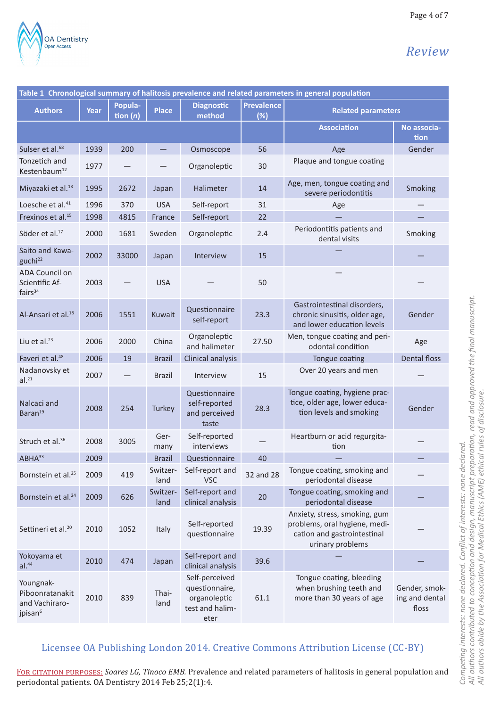

Page 4 of 7

| Table 1 Chronological summary of halitosis prevalence and related parameters in general population |      |                       |                  |                                                                             |                          |                                                                                                                   |                                          |  |  |  |
|----------------------------------------------------------------------------------------------------|------|-----------------------|------------------|-----------------------------------------------------------------------------|--------------------------|-------------------------------------------------------------------------------------------------------------------|------------------------------------------|--|--|--|
| <b>Authors</b>                                                                                     | Year | Popula-<br>tion $(n)$ | <b>Place</b>     | <b>Diagnostic</b><br>method                                                 | <b>Prevalence</b><br>(%) | <b>Related parameters</b>                                                                                         |                                          |  |  |  |
|                                                                                                    |      |                       |                  |                                                                             |                          | <b>Association</b>                                                                                                | No associa-<br>tion                      |  |  |  |
| Sulser et al. <sup>68</sup>                                                                        | 1939 | 200                   |                  | Osmoscope                                                                   | 56                       | Age                                                                                                               | Gender                                   |  |  |  |
| Tonzetich and<br>Kestenbaum <sup>12</sup>                                                          | 1977 |                       |                  | Organoleptic                                                                | 30                       | Plaque and tongue coating                                                                                         |                                          |  |  |  |
| Miyazaki et al. <sup>13</sup>                                                                      | 1995 | 2672                  | Japan            | Halimeter                                                                   | 14                       | Age, men, tongue coating and<br>severe periodontitis                                                              | Smoking                                  |  |  |  |
| Loesche et al. <sup>41</sup>                                                                       | 1996 | 370                   | <b>USA</b>       | Self-report                                                                 | 31                       | Age                                                                                                               |                                          |  |  |  |
| Frexinos et al. <sup>15</sup>                                                                      | 1998 | 4815                  | France           | Self-report                                                                 | 22                       |                                                                                                                   |                                          |  |  |  |
| Söder et al. <sup>17</sup>                                                                         | 2000 | 1681                  | Sweden           | Organoleptic                                                                | 2.4                      | Periodontitis patients and<br>dental visits                                                                       | Smoking                                  |  |  |  |
| Saito and Kawa-<br>guchi <sup>22</sup>                                                             | 2002 | 33000                 | Japan            | Interview                                                                   | 15                       |                                                                                                                   |                                          |  |  |  |
| ADA Council on<br>Scientific Af-<br>fairs $34$                                                     | 2003 |                       | <b>USA</b>       |                                                                             | 50                       |                                                                                                                   |                                          |  |  |  |
| Al-Ansari et al. <sup>18</sup>                                                                     | 2006 | 1551                  | Kuwait           | Questionnaire<br>self-report                                                | 23.3                     | Gastrointestinal disorders,<br>chronic sinusitis, older age,<br>and lower education levels                        | Gender                                   |  |  |  |
| Liu et al. $^{23}$                                                                                 | 2006 | 2000                  | China            | Organoleptic<br>and halimeter                                               | 27.50                    | Men, tongue coating and peri-<br>odontal condition                                                                | Age                                      |  |  |  |
| Faveri et al. <sup>48</sup>                                                                        | 2006 | 19                    | <b>Brazil</b>    | Clinical analysis                                                           |                          | Tongue coating                                                                                                    | <b>Dental floss</b>                      |  |  |  |
| Nadanovsky et<br>al. <sup>21</sup>                                                                 | 2007 |                       | <b>Brazil</b>    | Interview                                                                   | 15                       | Over 20 years and men                                                                                             |                                          |  |  |  |
| Nalcaci and<br>Baran <sup>19</sup>                                                                 | 2008 | 254                   | Turkey           | Questionnaire<br>self-reported<br>and perceived<br>taste                    | 28.3                     | Tongue coating, hygiene prac-<br>tice, older age, lower educa-<br>tion levels and smoking                         | Gender                                   |  |  |  |
| Struch et al. <sup>36</sup>                                                                        | 2008 | 3005                  | Ger-<br>many     | Self-reported<br>interviews                                                 |                          | Heartburn or acid regurgita-<br>tion                                                                              |                                          |  |  |  |
| $ABHA^{33}$                                                                                        | 2009 |                       | <b>Brazil</b>    | Questionnaire                                                               | 40                       |                                                                                                                   |                                          |  |  |  |
| Bornstein et al. <sup>25</sup>                                                                     | 2009 | 419                   | Switzer-<br>land | Self-report and<br><b>VSC</b>                                               | 32 and 28                | Tongue coating, smoking and<br>periodontal disease                                                                |                                          |  |  |  |
| Bornstein et al. <sup>24</sup>                                                                     | 2009 | 626                   | Switzer-<br>land | Self-report and<br>clinical analysis                                        | 20                       | Tongue coating, smoking and<br>periodontal disease                                                                |                                          |  |  |  |
| Settineri et al. <sup>20</sup>                                                                     | 2010 | 1052                  | Italy            | Self-reported<br>questionnaire                                              | 19.39                    | Anxiety, stress, smoking, gum<br>problems, oral hygiene, medi-<br>cation and gastrointestinal<br>urinary problems |                                          |  |  |  |
| Yokoyama et<br>al. <sup>44</sup>                                                                   | 2010 | 474                   | Japan            | Self-report and<br>clinical analysis                                        | 39.6                     |                                                                                                                   |                                          |  |  |  |
| Youngnak-<br>Piboonratanakit<br>and Vachiraro-<br>jpisan <sup>6</sup>                              | 2010 | 839                   | Thai-<br>land    | Self-perceived<br>questionnaire,<br>organoleptic<br>test and halim-<br>eter | 61.1                     | Tongue coating, bleeding<br>when brushing teeth and<br>more than 30 years of age                                  | Gender, smok-<br>ing and dental<br>floss |  |  |  |

### Licensee OA Publishing London 2014. Creative Commons Attribution License (CC-BY)

FOR CITATION PURPOSES: Soares LG, Tinoco EMB. Prevalence and related parameters of halitosis in general population and periodontal patients. OA Dentistry 2014 Feb 25;2(1):4.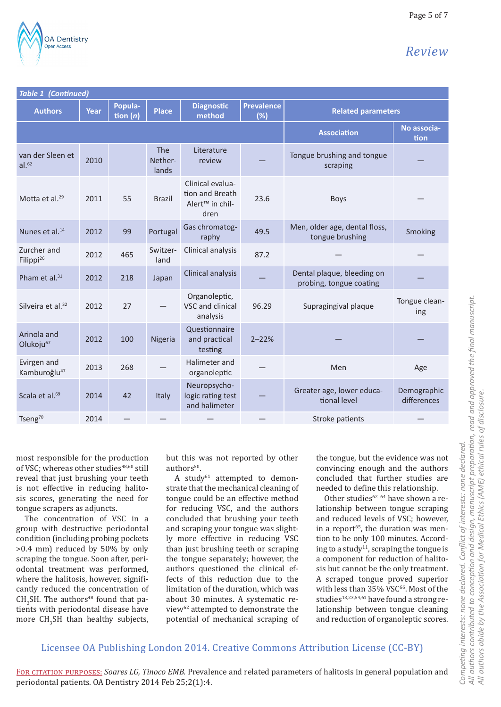

Page 5 of 7

| Table 1 (Continued)                     |      |                       |                                |                                                                            |                          |                                                       |                            |  |  |  |
|-----------------------------------------|------|-----------------------|--------------------------------|----------------------------------------------------------------------------|--------------------------|-------------------------------------------------------|----------------------------|--|--|--|
| <b>Authors</b>                          | Year | Popula-<br>tion $(n)$ | <b>Place</b>                   | <b>Diagnostic</b><br>method                                                | <b>Prevalence</b><br>(%) | <b>Related parameters</b>                             |                            |  |  |  |
|                                         |      |                       |                                |                                                                            |                          | <b>Association</b>                                    | No associa-<br>tion        |  |  |  |
| van der Sleen et<br>al. <sup>62</sup>   | 2010 |                       | <b>The</b><br>Nether-<br>lands | Literature<br>review                                                       |                          | Tongue brushing and tongue<br>scraping                |                            |  |  |  |
| Motta et al. <sup>29</sup>              | 2011 | 55                    | <b>Brazil</b>                  | Clinical evalua-<br>tion and Breath<br>Alert <sup>™</sup> in chil-<br>dren | 23.6                     | <b>Boys</b>                                           |                            |  |  |  |
| Nunes et al. <sup>14</sup>              | 2012 | 99                    | Portugal                       | Gas chromatog-<br>raphy                                                    | 49.5                     | Men, older age, dental floss,<br>tongue brushing      | Smoking                    |  |  |  |
| Zurcher and<br>Filippi <sup>26</sup>    | 2012 | 465                   | Switzer-<br>land               | Clinical analysis                                                          | 87.2                     |                                                       |                            |  |  |  |
| Pham et al. <sup>31</sup>               | 2012 | 218                   | Japan                          | Clinical analysis                                                          |                          | Dental plaque, bleeding on<br>probing, tongue coating |                            |  |  |  |
| Silveira et al. <sup>32</sup>           | 2012 | 27                    |                                | Organoleptic,<br>VSC and clinical<br>analysis                              | 96.29                    | Supragingival plaque                                  | Tongue clean-<br>ing       |  |  |  |
| Arinola and<br>Olukoju <sup>67</sup>    | 2012 | 100                   | Nigeria                        | Questionnaire<br>and practical<br>testing                                  | $2 - 22%$                |                                                       |                            |  |  |  |
| Evirgen and<br>Kamburoğlu <sup>47</sup> | 2013 | 268                   |                                | Halimeter and<br>organoleptic                                              |                          | Men                                                   | Age                        |  |  |  |
| Scala et al. <sup>69</sup>              | 2014 | 42                    | Italy                          | Neuropsycho-<br>logic rating test<br>and halimeter                         |                          | Greater age, lower educa-<br>tional level             | Demographic<br>differences |  |  |  |
| Tseng <sup>70</sup>                     | 2014 |                       |                                |                                                                            |                          | Stroke patients                                       |                            |  |  |  |

most responsible for the production of VSC; whereas other studies<sup>48,60</sup> still reveal that just brushing your teeth is not effective in reducing halitosis scores, generating the need for tongue scrapers as adjuncts.

The concentration of VSC in a group with destructive periodontal condition (including probing pockets >0.4 mm) reduced by 50% by only scraping the tongue. Soon after, periodontal treatment was performed, where the halitosis, however, significantly reduced the concentration of  $CH<sub>3</sub>SH$ . The authors<sup>48</sup> found that patients with periodontal disease have more  $CH_3SH$  than healthy subjects, but this was not reported by other authors<sup>50</sup>.

A study $^{61}$  attempted to demonstrate that the mechanical cleaning of tongue could be an effective method for reducing VSC, and the authors concluded that brushing your teeth and scraping your tongue was slightly more effective in reducing VSC than just brushing teeth or scraping the tongue separately; however, the authors questioned the clinical effects of this reduction due to the limitation of the duration, which was about 30 minutes. A systematic review62 attempted to demonstrate the potential of mechanical scraping of the tongue, but the evidence was not convincing enough and the authors concluded that further studies are needed to define this relationship.

Other studies $62-64$  have shown a relationship between tongue scraping and reduced levels of VSC; however, in a report<sup>65</sup>, the duration was mention to be only 100 minutes. According to a study<sup>11</sup>, scraping the tongue is a component for reduction of halitosis but cannot be the only treatment. A scraped tongue proved superior with less than 35% VSC<sup>66</sup>. Most of the studies<sup>13,23,54,61</sup> have found a strong relationship between tongue cleaning and reduction of organoleptic scores.

#### Licensee OA Publishing London 2014. Creative Commons Attribution License (CC-BY)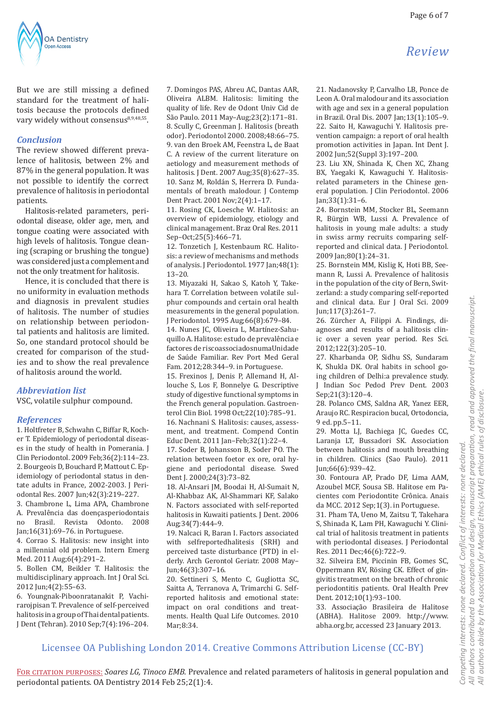

But we are still missing a defined standard for the treatment of halitosis because the protocols defined vary widely without consensus<sup>8,9,48,55</sup>.

#### *Conclusion*

The review showed different prevalence of halitosis, between 2% and 87% in the general population. It was not possible to identify the correct prevalence of halitosis in periodontal patients.

Halitosis-related parameters, periodontal disease, older age, men, and tongue coating were associated with high levels of halitosis. Tongue cleaning (scraping or brushing the tongue) was considered just a complement and not the only treatment for halitosis.

Hence, it is concluded that there is no uniformity in evaluation methods and diagnosis in prevalent studies of halitosis. The number of studies on relationship between periodontal patients and halitosis are limited. So, one standard protocol should be created for comparison of the studies and to show the real prevalence of halitosis around the world.

#### *Abbreviation list*

VSC, volatile sulphur compound.

#### *References*

1. Holtfreter B, Schwahn C, Biffar R, Kocher T. Epidemiology of periodontal diseases in the study of health in Pomerania. J Clin Periodontol. 2009 Feb;36(2):114–23. 2. Bourgeois D, Bouchard P, Mattout C. Epidemiology of periodontal status in dentate adults in France, 2002-2003. J Periodontal Res. 2007 Jun;42(3):219–227.

3. Chambrone L, Lima APA, Chambrone A. Prevalência das doençasperiodontais no Brasil. Revista Odonto. Jan;16(31):69–76. in Portuguese.

4. Corrao S. Halitosis: new insight into a millennial old problem. Intern Emerg Med. 2011 Aug;6(4):291–2.

5. Bollen CM, Beikler T. Halitosis: the multidisciplinary approach. Int J Oral Sci. 2012 Jun;4(2):55–63.

6. Youngnak-Piboonratanakit P, Vachirarojpisan T. Prevalence of self-perceived halitosis in a group of Thai dental patients. J Dent (Tehran). 2010 Sep;7(4):196–204.

7. Domingos PAS, Abreu AC, Dantas AAR, Oliveira ALBM. Halitosis: limiting the quality of life. Rev de Odont Univ Cid de São Paulo. 2011 May–Aug;23(2):171–81. 8. Scully C, Greenman J. Halitosis (breath odor). Periodontol 2000. 2008;48:66–75. 9. van den Broek AM, Feenstra L, de Baat C. A review of the current literature on aetiology and measurement methods of halitosis. J Dent. 2007 Aug;35(8):627–35. 10. Sanz M, Roldán S, Herrera D. Fundamentals of breath malodour. I Contemp Dent Pract. 2001 Nov;2(4):1–17.

11. Rosing CK, Loesche W. Halitosis: an overview of epidemiology, etiology and clinical management. Braz Oral Res. 2011 Sep–Oct;25(5):466–71.

12. Tonzetich J, Kestenbaum RC. Halitosis: a review of mechanisms and methods of analysis. J Periodontol. 1977 Jan;48(1): 13–20.

13. Miyazaki H, Sakao S, Katoh Y, Takehara T. Correlation between volatile sulphur compounds and certain oral health measurements in the general population. J Periodontol. 1995 Aug;66(8):679–84.

14. Nunes JC, Oliveira L, Martínez-Sahuquillo A. Halitose: estudo de prevalência e factores de riscoassociadosnumaUnidade de Saúde Familiar. Rev Port Med Geral Fam. 2012;28:344–9. in Portuguese.

15. Frexinos J, Denis P, Allemand H, Allouche S, Los F, Bonnelye G. Descriptive study of digestive functional symptoms in the French general population. Gastroenterol Clin Biol. 1998 Oct;22(10):785–91.

16. Nachnani S. Halitosis: causes, assessment, and treatment. Compend Contin Educ Dent. 2011 Jan–Feb;32(1):22–4.

17. Soder B, Johansson B, Soder PO. The relation between foetor ex ore, oral hygiene and periodontal disease. Swed Dent J. 2000;24(3):73–82.

18. Al-Ansari JM, Boodai H, Al-Sumait N, Al-Khabbaz AK, Al-Shammari KF, Salako N. Factors associated with self-reported halitosis in Kuwaiti patients. J Dent. 2006 Aug;34(7):444–9.

19. Nalcaci R, Baran I. Factors associated with selfreportedhalitesis (SRH) and perceived taste disturbance (PTD) in elderly. Arch Gerontol Geriatr. 2008 May– Jun;46(3):307–16.

20. Settineri S, Mento C, Gugliotta SC, Saitta A, Terranova A, Trimarchi G. Selfreported halitosis and emotional state: impact on oral conditions and treatments. Health Qual Life Outcomes. 2010 Mar;8:34.

21. Nadanovsky P, Carvalho LB, Ponce de Leon A. Oral malodour and its association with age and sex in a general population in Brazil. Oral Dis. 2007 Jan;13(1):105–9. 22. Saito H, Kawaguchi Y. Halitosis prevention campaign: a report of oral health promotion activities in Japan. Int Dent J. 2002 Jun;52(Suppl 3):197–200.

23. Liu XN, Shinada K, Chen XC, Zhang BX, Yaegaki K, Kawaguchi Y. Halitosisrelated parameters in the Chinese general population. J Clin Periodontol. 2006 Jan;33(1):31–6.

24. Bornstein MM, Stocker BL, Seemann R, Bürgin WB, Lussi A. Prevalence of halitosis in young male adults: a study in swiss army recruits comparing selfreported and clinical data. J Periodontol. 2009 Jan;80(1):24–31.

25. Bornstein MM, Kislig K, Hoti BB, Seemann R, Lussi A. Prevalence of halitosis in the population of the city of Bern, Switzerland: a study comparing self-reported and clinical data. Eur J Oral Sci. 2009 Jun;117(3):261–7.

26. Zürcher A, Filippi A. Findings, diagnoses and results of a halitosis clinic over a seven year period. Res Sci. 2012;122(3):205–10.

27. Kharbanda OP, Sidhu SS, Sundaram K, Shukla DK. Oral habits in school going children of Delhi:a prevalence study. J Indian Soc Pedod Prev Dent. 2003 Sep;21(3):120–4.

28. Polanco CMS, Saldna AR, Yanez EER, Araujo RC. Respiracion bucal, Ortodoncia, 9 ed. pp.5–11.

29. Motta LJ, Bachiega JC, Guedes CC, Laranja LT, Bussadori SK. Association between halitosis and mouth breathing in children. Clinics (Sao Paulo). 2011 Jun;66(6):939–42.

30. Fontoura AP, Prado DF, Lima AAM, Azoubel MCF, Sousa SB. Halitose em Pacientes com Periodontite Crônica. Anais da MCC. 2012 Sep;1(3). in Portuguese.

31. Pham TA, Ueno M, Zaitsu T, Takehara S, Shinada K, Lam PH, Kawaguchi Y. Clinical trial of halitosis treatment in patients with periodontal diseases. J Periodontal Res. 2011 Dec;46(6):722–9.

32. Silveira EM, Piccinin FB, Gomes SC, Oppermann RV, Rösing CK. Effect of gingivitis treatment on the breath of chronic periodontitis patients. Oral Health Prev Dent. 2012;10(1):93–100.

33. Associação Brasileira de Halitose (ABHA). Halitose 2009. http://www. abha.org.br, accessed 23 January 2013.

# *Review*

All authors contributed to conception and design, manuscript preparation, read and approved the final manuscript. *All authors contributed to conception and design, manuscript preparation, read and approved the final manuscript.* All authors abide by the Association for Medical Ethics (AME) ethical rules of disclosure. *All authors abide by the Association for Medical Ethics (AME) ethical rules of disclosure.* Conflict of interests: none declared. *Competing interests: none declared. Conflict of interests: none declared.* Competing interests: none declared.